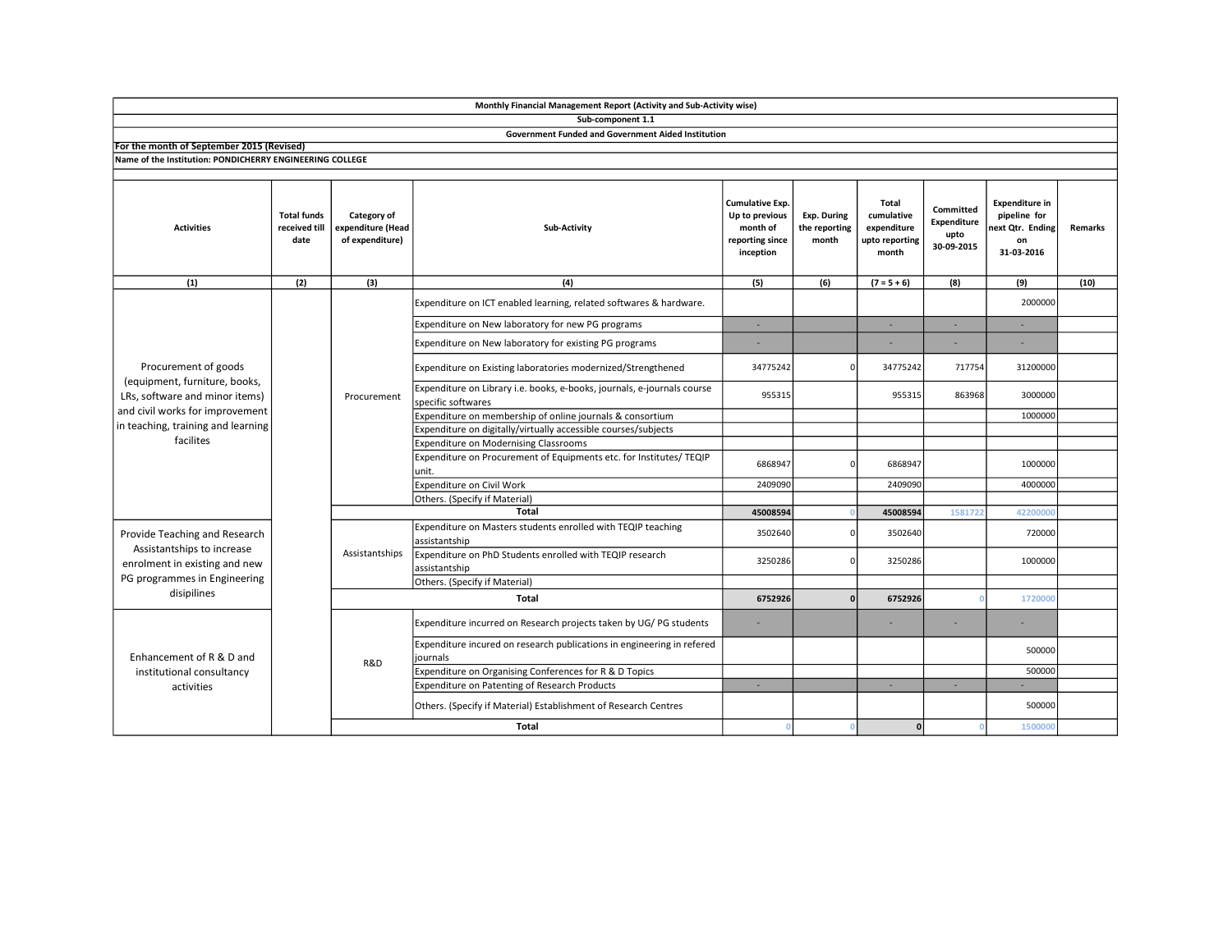| Sub-component 1.1                                                                                                                                                             |                                             |                                                     |                                                                                               |                                                                                      |                                       |                                                               |                                                |                                                                               |                |  |  |
|-------------------------------------------------------------------------------------------------------------------------------------------------------------------------------|---------------------------------------------|-----------------------------------------------------|-----------------------------------------------------------------------------------------------|--------------------------------------------------------------------------------------|---------------------------------------|---------------------------------------------------------------|------------------------------------------------|-------------------------------------------------------------------------------|----------------|--|--|
| <b>Government Funded and Government Aided Institution</b>                                                                                                                     |                                             |                                                     |                                                                                               |                                                                                      |                                       |                                                               |                                                |                                                                               |                |  |  |
| For the month of September 2015 (Revised)                                                                                                                                     |                                             |                                                     |                                                                                               |                                                                                      |                                       |                                                               |                                                |                                                                               |                |  |  |
| Name of the Institution: PONDICHERRY ENGINEERING COLLEGE                                                                                                                      |                                             |                                                     |                                                                                               |                                                                                      |                                       |                                                               |                                                |                                                                               |                |  |  |
|                                                                                                                                                                               |                                             |                                                     |                                                                                               |                                                                                      |                                       |                                                               |                                                |                                                                               |                |  |  |
| <b>Activities</b>                                                                                                                                                             | <b>Total funds</b><br>received till<br>date | Category of<br>expenditure (Head<br>of expenditure) | <b>Sub-Activity</b>                                                                           | <b>Cumulative Exp.</b><br>Up to previous<br>month of<br>reporting since<br>inception | Exp. During<br>the reporting<br>month | Total<br>cumulative<br>expenditure<br>upto reporting<br>month | Committed<br>Expenditure<br>upto<br>30-09-2015 | <b>Expenditure in</b><br>pipeline for<br>next Qtr. Ending<br>on<br>31-03-2016 | <b>Remarks</b> |  |  |
| (1)                                                                                                                                                                           | (2)                                         | (3)                                                 | (4)                                                                                           | (5)                                                                                  | (6)                                   | $(7 = 5 + 6)$                                                 | (8)                                            | (9)                                                                           | (10)           |  |  |
| Procurement of goods<br>(equipment, furniture, books,<br>LRs, software and minor items)<br>and civil works for improvement<br>in teaching, training and learning<br>facilites |                                             | Procurement                                         | Expenditure on ICT enabled learning, related softwares & hardware.                            |                                                                                      |                                       |                                                               |                                                | 2000000                                                                       |                |  |  |
|                                                                                                                                                                               |                                             |                                                     | Expenditure on New laboratory for new PG programs                                             | $\sim$                                                                               |                                       | $\sim$                                                        | ÷.                                             | $\sim$                                                                        |                |  |  |
|                                                                                                                                                                               |                                             |                                                     | Expenditure on New laboratory for existing PG programs                                        |                                                                                      |                                       |                                                               |                                                |                                                                               |                |  |  |
|                                                                                                                                                                               |                                             |                                                     | Expenditure on Existing laboratories modernized/Strengthened                                  | 34775242                                                                             |                                       | 34775242                                                      | 717754                                         | 31200000                                                                      |                |  |  |
|                                                                                                                                                                               |                                             |                                                     | Expenditure on Library i.e. books, e-books, journals, e-journals course<br>specific softwares | 955315                                                                               |                                       | 955315                                                        | 863968                                         | 3000000                                                                       |                |  |  |
|                                                                                                                                                                               |                                             |                                                     | Expenditure on membership of online journals & consortium                                     |                                                                                      |                                       |                                                               |                                                | 1000000                                                                       |                |  |  |
|                                                                                                                                                                               |                                             |                                                     | Expenditure on digitally/virtually accessible courses/subjects                                |                                                                                      |                                       |                                                               |                                                |                                                                               |                |  |  |
|                                                                                                                                                                               |                                             |                                                     | <b>Expenditure on Modernising Classrooms</b>                                                  |                                                                                      |                                       |                                                               |                                                |                                                                               |                |  |  |
|                                                                                                                                                                               |                                             |                                                     | Expenditure on Procurement of Equipments etc. for Institutes/ TEQIP<br>unit.                  | 6868947                                                                              |                                       | 6868947                                                       |                                                | 1000000                                                                       |                |  |  |
|                                                                                                                                                                               |                                             |                                                     | Expenditure on Civil Work                                                                     | 2409090                                                                              |                                       | 2409090                                                       |                                                | 4000000                                                                       |                |  |  |
|                                                                                                                                                                               |                                             |                                                     | Others. (Specify if Material)                                                                 |                                                                                      |                                       |                                                               |                                                |                                                                               |                |  |  |
|                                                                                                                                                                               |                                             | Total                                               |                                                                                               | 45008594                                                                             |                                       | 45008594                                                      | 1581722                                        | 42200000                                                                      |                |  |  |
| Provide Teaching and Research<br>Assistantships to increase<br>enrolment in existing and new<br>PG programmes in Engineering<br>disipilines                                   |                                             | Assistantships                                      | Expenditure on Masters students enrolled with TEQIP teaching<br>assistantship                 | 3502640                                                                              | $\Omega$                              | 3502640                                                       |                                                | 720000                                                                        |                |  |  |
|                                                                                                                                                                               |                                             |                                                     | Expenditure on PhD Students enrolled with TEQIP research<br>assistantship                     | 3250286                                                                              | $\Omega$                              | 3250286                                                       |                                                | 1000000                                                                       |                |  |  |
|                                                                                                                                                                               |                                             |                                                     | Others. (Specify if Material)                                                                 |                                                                                      |                                       |                                                               |                                                |                                                                               |                |  |  |
|                                                                                                                                                                               |                                             | <b>Total</b>                                        |                                                                                               | 6752926                                                                              |                                       | 6752926                                                       |                                                | 1720000                                                                       |                |  |  |
| Enhancement of R & D and<br>institutional consultancy<br>activities                                                                                                           |                                             | R&D                                                 | Expenditure incurred on Research projects taken by UG/ PG students                            |                                                                                      |                                       |                                                               |                                                |                                                                               |                |  |  |
|                                                                                                                                                                               |                                             |                                                     | Expenditure incured on research publications in engineering in refered<br>iournals            |                                                                                      |                                       |                                                               |                                                | 500000                                                                        |                |  |  |
|                                                                                                                                                                               |                                             |                                                     | Expenditure on Organising Conferences for R & D Topics                                        |                                                                                      |                                       |                                                               |                                                | 500000                                                                        |                |  |  |
|                                                                                                                                                                               |                                             |                                                     | Expenditure on Patenting of Research Products                                                 | ×                                                                                    |                                       | ÷.                                                            | ×.                                             |                                                                               |                |  |  |
|                                                                                                                                                                               |                                             |                                                     | Others. (Specify if Material) Establishment of Research Centres                               |                                                                                      |                                       |                                                               |                                                | 500000                                                                        |                |  |  |
|                                                                                                                                                                               |                                             |                                                     | Total                                                                                         | $\Omega$                                                                             | $\Omega$                              | 0                                                             |                                                | 1500000                                                                       |                |  |  |

Monthly Financial Management Report (Activity and Sub-Activity wise)